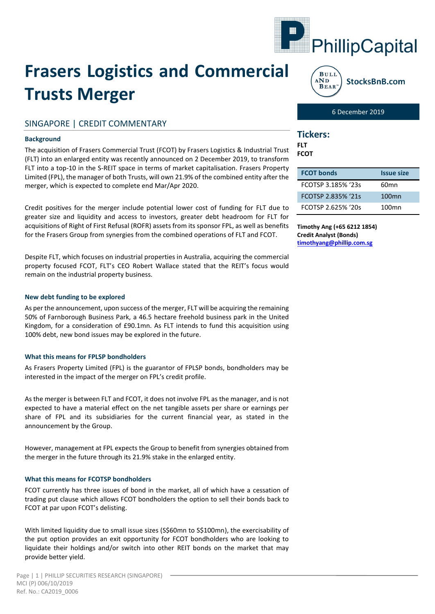

# **Frasers Logistics and Commercial Trusts Merger**

# SINGAPORE | CREDIT COMMENTARY

## **Background**

The acquisition of Frasers Commercial Trust (FCOT) by Frasers Logistics & Industrial Trust (FLT) into an enlarged entity was recently announced on 2 December 2019, to transform FLT into a top-10 in the S-REIT space in terms of market capitalisation. Frasers Property Limited (FPL), the manager of both Trusts, will own 21.9% of the combined entity after the merger, which is expected to complete end Mar/Apr 2020.

Credit positives for the merger include potential lower cost of funding for FLT due to greater size and liquidity and access to investors, greater debt headroom for FLT for acquisitions of Right of First Refusal (ROFR) assets from its sponsor FPL, as well as benefits for the Frasers Group from synergies from the combined operations of FLT and FCOT.

Despite FLT, which focuses on industrial properties in Australia, acquiring the commercial property focused FCOT, FLT's CEO Robert Wallace stated that the REIT's focus would remain on the industrial property business.

## **New debt funding to be explored**

As per the announcement, upon success of the merger, FLT will be acquiring the remaining 50% of Farnborough Business Park, a 46.5 hectare freehold business park in the United Kingdom, for a consideration of £90.1mn. As FLT intends to fund this acquisition using 100% debt, new bond issues may be explored in the future.

#### **What this means for FPLSP bondholders**

As Frasers Property Limited (FPL) is the guarantor of FPLSP bonds, bondholders may be interested in the impact of the merger on FPL's credit profile.

As the merger is between FLT and FCOT, it does not involve FPL as the manager, and is not expected to have a material effect on the net tangible assets per share or earnings per share of FPL and its subsidiaries for the current financial year, as stated in the announcement by the Group.

However, management at FPL expects the Group to benefit from synergies obtained from the merger in the future through its 21.9% stake in the enlarged entity.

## **What this means for FCOTSP bondholders**

FCOT currently has three issues of bond in the market, all of which have a cessation of trading put clause which allows FCOT bondholders the option to sell their bonds back to FCOT at par upon FCOT's delisting.

With limited liquidity due to small issue sizes (S\$60mn to S\$100mn), the exercisability of the put option provides an exit opportunity for FCOT bondholders who are looking to liquidate their holdings and/or switch into other REIT bonds on the market that may provide better yield.



6 December 2019

## **Tickers:**

**FLT FCOT**

| <b>FCOT bonds</b>  | <b>Issue size</b> |
|--------------------|-------------------|
| FCOTSP 3.185% '23s | 60mn              |
| FCOTSP 2.835% '21s | 100 <sub>mn</sub> |
| FCOTSP 2.625% '20s | 100 <sub>mn</sub> |

**Timothy Ang (+65 6212 1854) Credit Analyst (Bonds) [timothyang@phillip.com.sg](mailto:timothyang@phillip.com.sg)**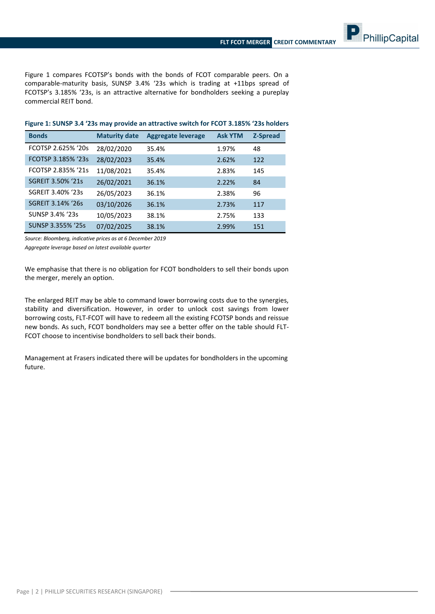PhillipCapital

Figure 1 compares FCOTSP's bonds with the bonds of FCOT comparable peers. On a comparable-maturity basis, SUNSP 3.4% '23s which is trading at +11bps spread of FCOTSP's 3.185% '23s, is an attractive alternative for bondholders seeking a pureplay commercial REIT bond.

| <b>Bonds</b>       | <b>Maturity date</b> | <b>Aggregate leverage</b> | <b>Ask YTM</b> | <b>Z-Spread</b> |
|--------------------|----------------------|---------------------------|----------------|-----------------|
| FCOTSP 2.625% '20s | 28/02/2020           | 35.4%                     | 1.97%          | 48              |
| FCOTSP 3.185% '23s | 28/02/2023           | 35.4%                     | 2.62%          | 122             |
| FCOTSP 2.835% '21s | 11/08/2021           | 35.4%                     | 2.83%          | 145             |
| SGREIT 3.50% '21s  | 26/02/2021           | 36.1%                     | 2.22%          | 84              |
| SGREIT 3.40% '23s  | 26/05/2023           | 36.1%                     | 2.38%          | 96              |
| SGREIT 3.14% '26s  | 03/10/2026           | 36.1%                     | 2.73%          | 117             |
| SUNSP 3.4% '23s    | 10/05/2023           | 38.1%                     | 2.75%          | 133             |
| SUNSP 3.355% '25s  | 07/02/2025           | 38.1%                     | 2.99%          | 151             |

## **Figure 1: SUNSP 3.4 '23s may provide an attractive switch for FCOT 3.185% '23s holders**

*Source: Bloomberg, indicative prices as at 6 December 2019*

*Aggregate leverage based on latest available quarter*

We emphasise that there is no obligation for FCOT bondholders to sell their bonds upon the merger, merely an option.

The enlarged REIT may be able to command lower borrowing costs due to the synergies, stability and diversification. However, in order to unlock cost savings from lower borrowing costs, FLT-FCOT will have to redeem all the existing FCOTSP bonds and reissue new bonds. As such, FCOT bondholders may see a better offer on the table should FLT-FCOT choose to incentivise bondholders to sell back their bonds.

Management at Frasers indicated there will be updates for bondholders in the upcoming future.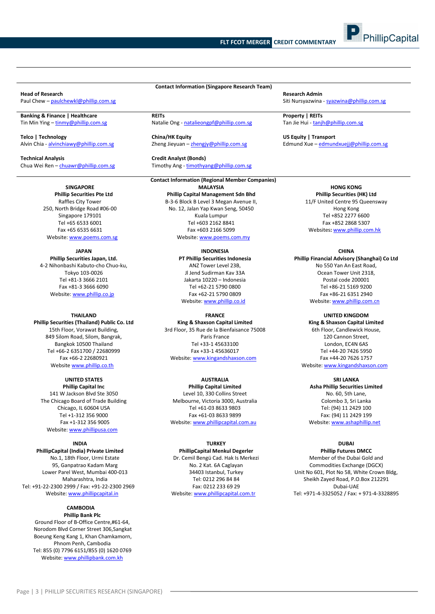**Contact Information (Singapore Research Team)**

**Head of Research Admin**<br> **Paul Chew – paulchewkl@phillip.com.sg**<br> **Paul Chew – paulchewkl@phillip.com.sg** 

**Banking & Finance | Healthcare REITs REITs REITS Property | REITs Property | REITs Property | REITs Property | REITs Property | REITs Property | REITs Property | REITs Property | REITs Propertion** 

**Technical Analysis Credit Analyst (Bonds)**

#### **SINGAPORE Phillip Securities Pte Ltd**

Raffles City Tower 250, North Bridge Road #06-00 Singapore 179101 Tel +65 6533 6001 Fax +65 6535 6631 Website[: www.poems.com.sg](http://www.poems.com.sg/)

**JAPAN Phillip Securities Japan, Ltd.** 4-2 Nihonbashi Kabuto-cho Chuo-ku, Tokyo 103-0026 Tel +81-3 3666 2101 Fax +81-3 3666 6090 Website[: www.phillip.co.jp](http://www.phillip.co.jp/)

#### **THAILAND**

**Phillip Securities (Thailand) Public Co. Ltd** 15th Floor, Vorawat Building, 849 Silom Road, Silom, Bangrak, Bangkok 10500 Thailand Tel +66-2 6351700 / 22680999 Fax +66-2 22680921 Website [www.phillip.co.th](http://www.phillip.co.th/)

> **UNITED STATES Phillip Capital Inc** 141 W Jackson Blvd Ste 3050

The Chicago Board of Trade Building Chicago, IL 60604 USA Tel +1-312 356 9000 Fax +1-312 356 9005 Website[: www.phillipusa.com](http://www.phillipusa.com/)

#### **INDIA**

**PhillipCapital (India) Private Limited** No.1, 18th Floor, Urmi Estate 95, Ganpatrao Kadam Marg Lower Parel West, Mumbai 400-013 Maharashtra, India Tel: +91-22-2300 2999 / Fax: +91-22-2300 2969 Website[: www.phillipcapital.in](http://www.phillipcapital.in/)

#### **CAMBODIA**

**Phillip Bank Plc** Ground Floor of B-Office Centre,#61-64, Norodom Blvd Corner Street 306,Sangkat Boeung Keng Kang 1, Khan Chamkamorn, Phnom Penh, Cambodia Tel: 855 (0) 7796 6151/855 (0) 1620 0769 Website[: www.phillipbank.com.kh](http://www.phillipbank.com.kh/)

Natalie Ong - [natalieongpf@phillip.com.sg](mailto:natalieongpf@phillip.com.sg)

Zheng Jieyuan – zhengiy@phillip.com.sg

Timothy Ang - timothyang@phillip.com.sg

**Contact Information (Regional Member Companies) MALAYSIA Phillip Capital Management Sdn Bhd** B-3-6 Block B Level 3 Megan Avenue II,

No. 12, Jalan Yap Kwan Seng, 50450 Kuala Lumpur Tel +603 2162 8841 Fax +603 2166 5099 Website[: www.poems.com.my](http://www.poems.com.my/)

### **INDONESIA**

**PT Phillip Securities Indonesia** ANZ Tower Level 23B, Jl Jend Sudirman Kav 33A Jakarta 10220 – Indonesia Tel +62-21 5790 0800 Fax +62-21 5790 0809 Website: [www.phillip.co.id](http://www.phillip.co.id/)

#### **FRANCE**

**King & Shaxson Capital Limited** 3rd Floor, 35 Rue de la Bienfaisance 75008 Paris France Tel +33-1 45633100 Fax +33-1 45636017 Website[: www.kingandshaxson.com](http://www.kingandshaxson.com/)

#### **AUSTRALIA**

**Phillip Capital Limited** Level 10, 330 Collins Street Melbourne, Victoria 3000, Australia Tel +61-03 8633 9803 Fax +61-03 8633 9899 Website[: www.phillipcapital.com.au](http://www.phillipcapital.com.au/)

#### **TURKEY**

**PhillipCapital Menkul Degerler** Dr. Cemil Bengü Cad. Hak Is Merkezi No. 2 Kat. 6A Caglayan 34403 Istanbul, Turkey Tel: 0212 296 84 84 Fax: 0212 233 69 29 Website[: www.phillipcapital.com.tr](http://www.phillipcapital.com.tr/)

Siti Nursyazwina - [syazwina@phillip.com.sg](mailto:syazwina@phillip.com.sg)

PhillipCapital

**Telco | Technology China/HK Equity | Transport** US Equity | Transport **China/HK Equity China/HK Equity China- China- China- China- China- Zheng Jieyuan** - <u>zhengiy@phillip.com.sg</u>

## **HONG KONG**

**Phillip Securities (HK) Ltd** 11/F United Centre 95 Queensway Hong Kong Tel +852 2277 6600 Fax +852 2868 5307 Websites**:** [www.phillip.com.hk](http://www.phillip.com.hk/)

#### **CHINA**

**Phillip Financial Advisory (Shanghai) Co Ltd** No 550 Yan An East Road, Ocean Tower Unit 2318, Postal code 200001 Tel +86-21 5169 9200 Fax +86-21 6351 2940 Website[: www.phillip.com.cn](http://www.phillip.com.cn/)

#### **UNITED KINGDOM**

**King & Shaxson Capital Limited** 6th Floor, Candlewick House, 120 Cannon Street, London, EC4N 6AS Tel +44-20 7426 5950 Fax +44-20 7626 1757 Website[: www.kingandshaxson.com](http://www.kingandshaxson.com/)

**SRI LANKA**

**Asha Phillip Securities Limited** No. 60, 5th Lane, Colombo 3, Sri Lanka Tel: (94) 11 2429 100 Fax: (94) 11 2429 199 Website[: www.ashaphillip.net](http://www.ashaphillip.net/)

### **DUBAI**

**Phillip Futures DMCC** Member of the Dubai Gold and Commodities Exchange (DGCX) Unit No 601, Plot No 58, White Crown Bldg, Sheikh Zayed Road, P.O.Box 212291 Dubai-UAE Tel: +971-4-3325052 / Fax: + 971-4-3328895